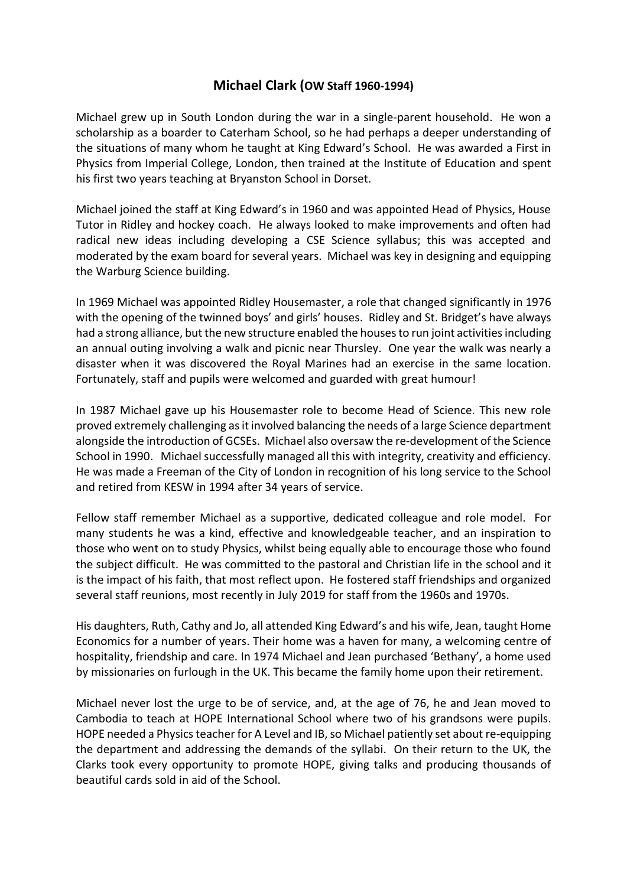## **Michael Clark (OW Staff 1960-1994)**

Michael grew up in South London during the war in a single-parent household. He won a scholarship as a boarder to Caterham School, so he had perhaps a deeper understanding of the situations of many whom he taught at King Edward's School. He was awarded a First in Physics from Imperial College, London, then trained at the Institute of Education and spent his first two years teaching at Bryanston School in Dorset.

Michael joined the staff at King Edward's in 1960 and was appointed Head of Physics, House Tutor in Ridley and hockey coach. He always looked to make improvements and often had radical new ideas including developing a CSE Science syllabus; this was accepted and moderated by the exam board for several years. Michael was key in designing and equipping the Warburg Science building.

In 1969 Michael was appointed Ridley Housemaster, a role that changed significantly in 1976 with the opening of the twinned boys' and girls' houses. Ridley and St. Bridget's have always had a strong alliance, but the new structure enabled the houses to run joint activities including an annual outing involving a walk and picnic near Thursley. One year the walk was nearly a disaster when it was discovered the Royal Marines had an exercise in the same location. Fortunately, staff and pupils were welcomed and guarded with great humour!

In 1987 Michael gave up his Housemaster role to become Head of Science. This new role proved extremely challenging as it involved balancing the needs of a large Science department alongside the introduction of GCSEs. Michael also oversaw the re-development of the Science School in 1990. Michael successfully managed all this with integrity, creativity and efficiency. He was made a Freeman of the City of London in recognition of his long service to the School and retired from KESW in 1994 after 34 years of service.

Fellow staff remember Michael as a supportive, dedicated colleague and role model. For many students he was a kind, effective and knowledgeable teacher, and an inspiration to those who went on to study Physics, whilst being equally able to encourage those who found the subject difficult. He was committed to the pastoral and Christian life in the school and it is the impact of his faith, that most reflect upon. He fostered staff friendships and organized several staff reunions, most recently in July 2019 for staff from the 1960s and 1970s.

His daughters, Ruth, Cathy and Jo, all attended King Edward's and his wife, Jean, taught Home Economics for a number of years. Their home was a haven for many, a welcoming centre of hospitality, friendship and care. In 1974 Michael and Jean purchased 'Bethany', a home used by missionaries on furlough in the UK. This became the family home upon their retirement.

Michael never lost the urge to be of service, and, at the age of 76, he and Jean moved to Cambodia to teach at HOPE International School where two of his grandsons were pupils. HOPE needed a Physics teacher for A Level and IB, so Michael patiently set about re-equipping the department and addressing the demands of the syllabi. On their return to the UK, the Clarks took every opportunity to promote HOPE, giving talks and producing thousands of beautiful cards sold in aid of the School.